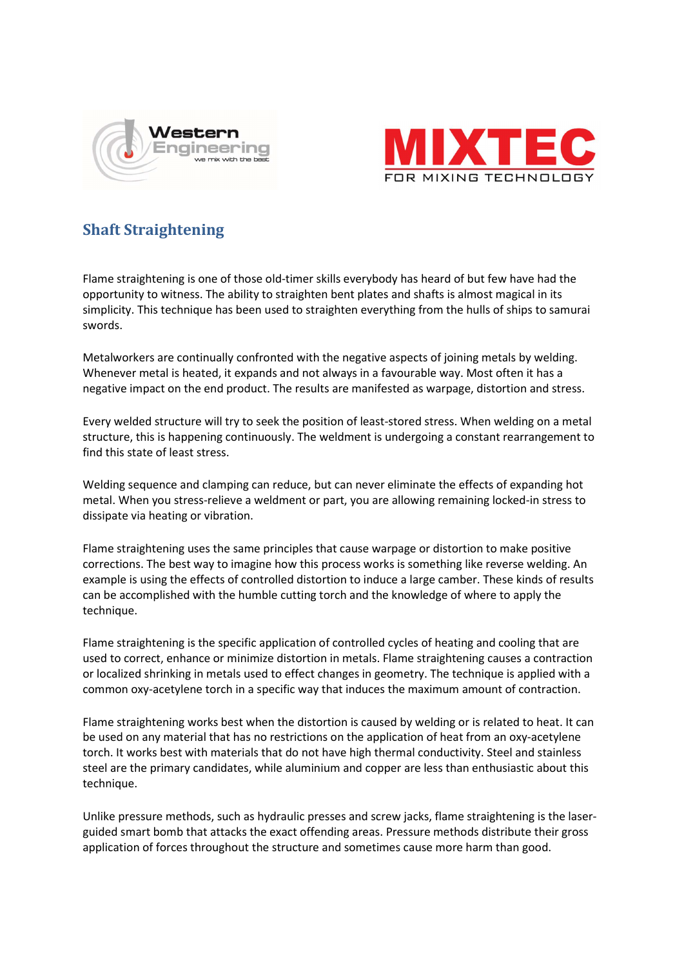



## Shaft Straightening

Flame straightening is one of those old-timer skills everybody has heard of but few have had the opportunity to witness. The ability to straighten bent plates and shafts is almost magical in its simplicity. This technique has been used to straighten everything from the hulls of ships to samurai swords.

Metalworkers are continually confronted with the negative aspects of joining metals by welding. Whenever metal is heated, it expands and not always in a favourable way. Most often it has a negative impact on the end product. The results are manifested as warpage, distortion and stress.

Every welded structure will try to seek the position of least-stored stress. When welding on a metal structure, this is happening continuously. The weldment is undergoing a constant rearrangement to find this state of least stress.

Welding sequence and clamping can reduce, but can never eliminate the effects of expanding hot metal. When you stress-relieve a weldment or part, you are allowing remaining locked-in stress to dissipate via heating or vibration.

Flame straightening uses the same principles that cause warpage or distortion to make positive corrections. The best way to imagine how this process works is something like reverse welding. An example is using the effects of controlled distortion to induce a large camber. These kinds of results can be accomplished with the humble cutting torch and the knowledge of where to apply the technique.

Flame straightening is the specific application of controlled cycles of heating and cooling that are used to correct, enhance or minimize distortion in metals. Flame straightening causes a contraction or localized shrinking in metals used to effect changes in geometry. The technique is applied with a common oxy-acetylene torch in a specific way that induces the maximum amount of contraction.

Flame straightening works best when the distortion is caused by welding or is related to heat. It can be used on any material that has no restrictions on the application of heat from an oxy-acetylene torch. It works best with materials that do not have high thermal conductivity. Steel and stainless steel are the primary candidates, while aluminium and copper are less than enthusiastic about this technique.

Unlike pressure methods, such as hydraulic presses and screw jacks, flame straightening is the laserguided smart bomb that attacks the exact offending areas. Pressure methods distribute their gross application of forces throughout the structure and sometimes cause more harm than good.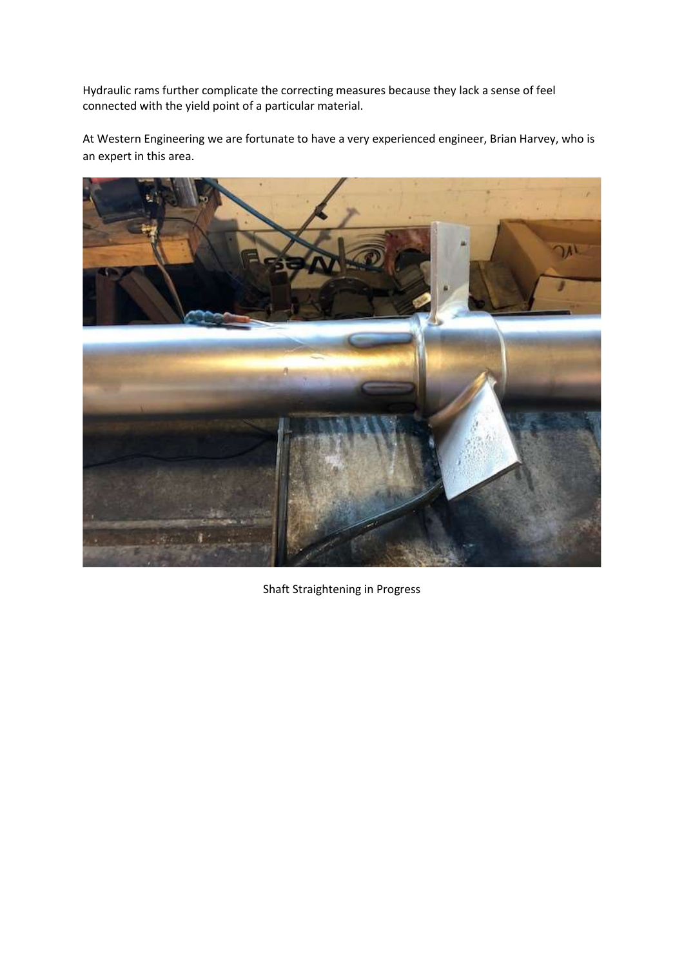Hydraulic rams further complicate the correcting measures because they lack a sense of feel connected with the yield point of a particular material.

At Western Engineering we are fortunate to have a very experienced engineer, Brian Harvey, who is an expert in this area.



Shaft Straightening in Progress